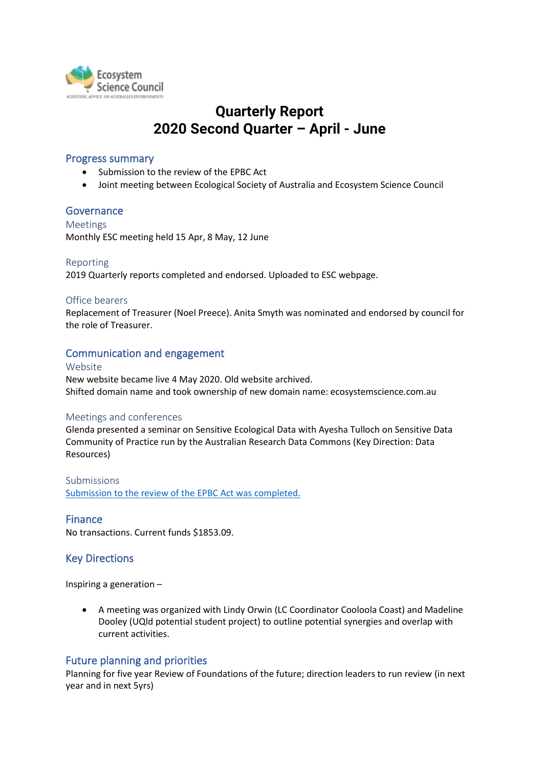

# **Quarterly Report 2020 Second Quarter – April - June**

## Progress summary

- Submission to the review of the EPBC Act
- Joint meeting between Ecological Society of Australia and Ecosystem Science Council

## **Governance**

Meetings Monthly ESC meeting held 15 Apr, 8 May, 12 June

## Reporting

2019 Quarterly reports completed and endorsed. Uploaded to ESC webpage.

## Office bearers

Replacement of Treasurer (Noel Preece). Anita Smyth was nominated and endorsed by council for the role of Treasurer.

# Communication and engagement

#### Website

New website became live 4 May 2020. Old website archived. Shifted domain name and took ownership of new domain name: ecosystemscience.com.au

## Meetings and conferences

Glenda presented a seminar on Sensitive Ecological Data with Ayesha Tulloch on Sensitive Data Community of Practice run by the Australian Research Data Commons (Key Direction: Data Resources)

Submissions [Submission to the review of the EPBC Act](https://ecosystemscience.org.au/wp-content/uploads/2020/04/ESC-Independent-Review-of-the-EPBC-Act-2020-final4990.pdf) was completed.

# Finance

No transactions. Current funds \$1853.09.

# Key Directions

Inspiring a generation –

• A meeting was organized with Lindy Orwin (LC Coordinator Cooloola Coast) and Madeline Dooley (UQld potential student project) to outline potential synergies and overlap with current activities.

# Future planning and priorities

Planning for five year Review of Foundations of the future; direction leaders to run review (in next year and in next 5yrs)